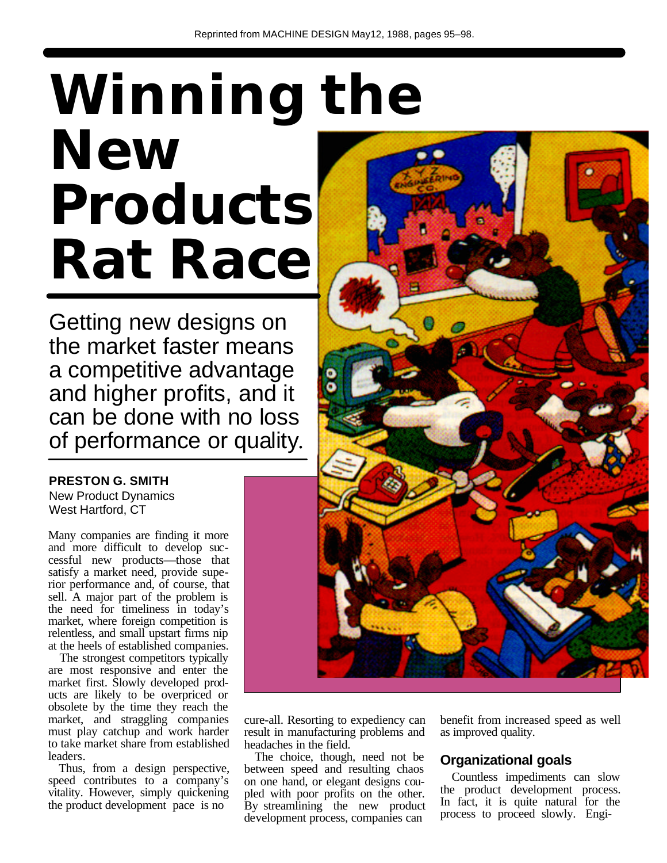# **Winning the New Products Rat Race**

Getting new designs on the market faster means a competitive advantage and higher profits, and it can be done with no loss of performance or quality.

#### **PRESTON G. SMITH**

New Product Dynamics West Hartford, CT

Many companies are finding it more and more difficult to develop successful new products—those that satisfy a market need, provide superior performance and, of course, that sell. A major part of the problem is the need for timeliness in today's market, where foreign competition is relentless, and small upstart firms nip at the heels of established companies.

The strongest competitors typically are most responsive and enter the market first. Slowly developed products are likely to be overpriced or obsolete by the time they reach the market, and straggling companies must play catchup and work harder to take market share from established leaders.

Thus, from a design perspective, speed contributes to a company's vitality. However, simply quickening the product development pace is no



cure-all. Resorting to expediency can result in manufacturing problems and headaches in the field.

The choice, though, need not be between speed and resulting chaos on one hand, or elegant designs coupled with poor profits on the other. By streamlining the new product development process, companies can

benefit from increased speed as well as improved quality.

### **Organizational goals**

Countless impediments can slow the product development process. In fact, it is quite natural for the process to proceed slowly. Engi-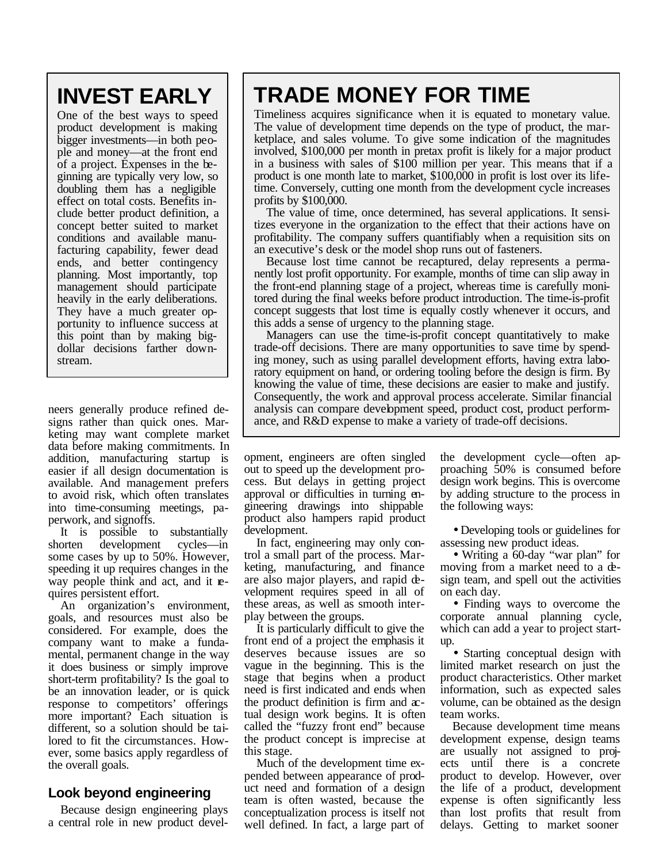# **INVEST EARLY**

One of the best ways to speed product development is making bigger investments—in both people and money—at the front end of a project. Expenses in the beginning are typically very low, so doubling them has a negligible effect on total costs. Benefits include better product definition, a concept better suited to market conditions and available manufacturing capability, fewer dead ends, and better contingency planning. Most importantly, top management should participate heavily in the early deliberations. They have a much greater opportunity to influence success at this point than by making bigdollar decisions farther downstream.

neers generally produce refined designs rather than quick ones. Marketing may want complete market data before making commitments. In addition, manufacturing startup is easier if all design documentation is available. And management prefers to avoid risk, which often translates into time-consuming meetings, paperwork, and signoffs.

It is possible to substantially shorten development cycles—in some cases by up to 50%. However, speeding it up requires changes in the way people think and act, and it requires persistent effort.

An organization's environment, goals, and resources must also be considered. For example, does the company want to make a fundamental, permanent change in the way it does business or simply improve short-term profitability? Is the goal to be an innovation leader, or is quick response to competitors' offerings more important? Each situation is different, so a solution should be tailored to fit the circumstances. However, some basics apply regardless of the overall goals.

### **Look beyond engineering**

Because design engineering plays a central role in new product devel-

## **TRADE MONEY FOR TIME**

Timeliness acquires significance when it is equated to monetary value. The value of development time depends on the type of product, the marketplace, and sales volume. To give some indication of the magnitudes involved, \$100,000 per month in pretax profit is likely for a major product in a business with sales of \$100 million per year. This means that if a product is one month late to market, \$100,000 in profit is lost over its lifetime. Conversely, cutting one month from the development cycle increases profits by \$100,000.

The value of time, once determined, has several applications. It sensitizes everyone in the organization to the effect that their actions have on profitability. The company suffers quantifiably when a requisition sits on an executive's desk or the model shop runs out of fasteners.

Because lost time cannot be recaptured, delay represents a permanently lost profit opportunity. For example, months of time can slip away in the front-end planning stage of a project, whereas time is carefully monitored during the final weeks before product introduction. The time-is-profit concept suggests that lost time is equally costly whenever it occurs, and this adds a sense of urgency to the planning stage.

Managers can use the time-is-profit concept quantitatively to make trade-off decisions. There are many opportunities to save time by spending money, such as using parallel development efforts, having extra laboratory equipment on hand, or ordering tooling before the design is firm. By knowing the value of time, these decisions are easier to make and justify. Consequently, the work and approval process accelerate. Similar financial analysis can compare development speed, product cost, product performance, and R&D expense to make a variety of trade-off decisions.

opment, engineers are often singled out to speed up the development process. But delays in getting project approval or difficulties in turning engineering drawings into shippable product also hampers rapid product development.

In fact, engineering may only control a small part of the process. Marketing, manufacturing, and finance are also major players, and rapid development requires speed in all of these areas, as well as smooth interplay between the groups.

It is particularly difficult to give the front end of a project the emphasis it deserves because issues are so vague in the beginning. This is the stage that begins when a product need is first indicated and ends when the product definition is firm and  $\alpha$ tual design work begins. It is often called the "fuzzy front end" because the product concept is imprecise at this stage.

Much of the development time expended between appearance of product need and formation of a design team is often wasted, because the conceptualization process is itself not well defined. In fact, a large part of the development cycle—often approaching 50% is consumed before design work begins. This is overcome by adding structure to the process in the following ways:

• Developing tools or guidelines for assessing new product ideas.

• Writing a 60-day "war plan" for moving from a market need to a design team, and spell out the activities on each day.

• Finding ways to overcome the corporate annual planning cycle, which can add a year to project startup.

• Starting conceptual design with limited market research on just the product characteristics. Other market information, such as expected sales volume, can be obtained as the design team works.

Because development time means development expense, design teams are usually not assigned to projects until there is a concrete product to develop. However, over the life of a product, development expense is often significantly less than lost profits that result from delays. Getting to market sooner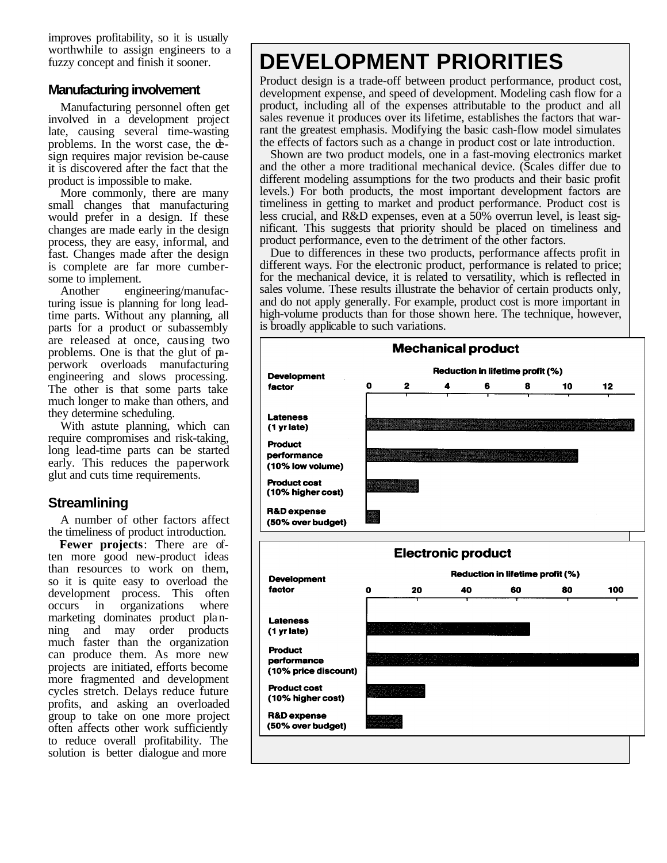improves profitability, so it is usually worthwhile to assign engineers to a fuzzy concept and finish it sooner.

#### **Manufacturing involvement**

Manufacturing personnel often get involved in a development project late, causing several time-wasting problems. In the worst case, the design requires major revision be-cause it is discovered after the fact that the product is impossible to make.

More commonly, there are many small changes that manufacturing would prefer in a design. If these changes are made early in the design process, they are easy, informal, and fast. Changes made after the design is complete are far more cumbersome to implement.

Another engineering/manufacturing issue is planning for long leadtime parts. Without any planning, all parts for a product or subassembly are released at once, causing two problems. One is that the glut of paperwork overloads manufacturing engineering and slows processing. The other is that some parts take much longer to make than others, and they determine scheduling.

With astute planning, which can require compromises and risk-taking, long lead-time parts can be started early. This reduces the paperwork glut and cuts time requirements.

### **Streamlining**

A number of other factors affect the timeliness of product introduction.

**Fewer projects**: There are often more good new-product ideas than resources to work on them, so it is quite easy to overload the development process. This often occurs in organizations where marketing dominates product planning and may order products much faster than the organization can produce them. As more new projects are initiated, efforts become more fragmented and development cycles stretch. Delays reduce future profits, and asking an overloaded group to take on one more project often affects other work sufficiently to reduce overall profitability. The solution is better dialogue and more

# **DEVELOPMENT PRIORITIES**

Product design is a trade-off between product performance, product cost, development expense, and speed of development. Modeling cash flow for a product, including all of the expenses attributable to the product and all sales revenue it produces over its lifetime, establishes the factors that warrant the greatest emphasis. Modifying the basic cash-flow model simulates the effects of factors such as a change in product cost or late introduction.

Shown are two product models, one in a fast-moving electronics market and the other a more traditional mechanical device. (Scales differ due to different modeling assumptions for the two products and their basic profit levels.) For both products, the most important development factors are timeliness in getting to market and product performance. Product cost is less crucial, and R&D expenses, even at a 50% overrun level, is least significant. This suggests that priority should be placed on timeliness and product performance, even to the detriment of the other factors.

Due to differences in these two products, performance affects profit in different ways. For the electronic product, performance is related to price; for the mechanical device, it is related to versatility, which is reflected in sales volume. These results illustrate the behavior of certain products only, and do not apply generally. For example, product cost is more important in high-volume products than for those shown here. The technique, however, is broadly applicable to such variations.